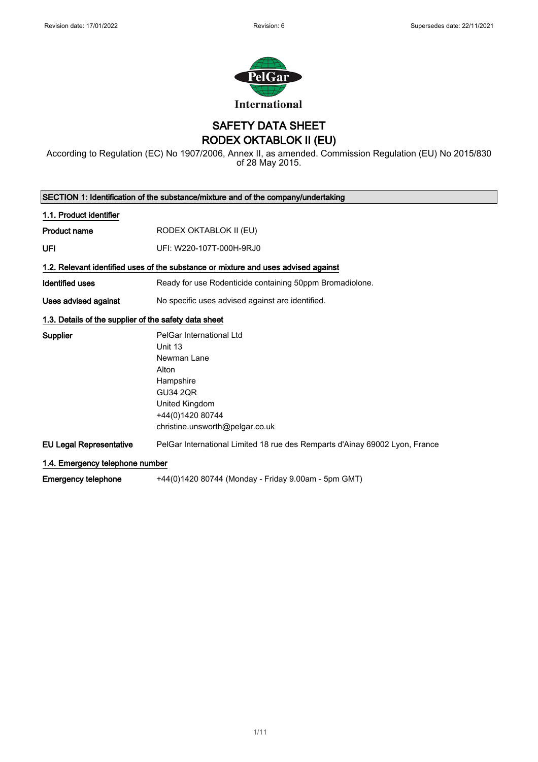

SAFETY DATA SHEET RODEX OKTABLOK II (EU)

According to Regulation (EC) No 1907/2006, Annex II, as amended. Commission Regulation (EU) No 2015/830 of 28 May 2015.

|                                                       | SECTION 1: Identification of the substance/mixture and of the company/undertaking                                                                                    |
|-------------------------------------------------------|----------------------------------------------------------------------------------------------------------------------------------------------------------------------|
| 1.1. Product identifier                               |                                                                                                                                                                      |
| <b>Product name</b>                                   | RODEX OKTABLOK II (EU)                                                                                                                                               |
| UFI                                                   | UFI: W220-107T-000H-9RJ0                                                                                                                                             |
|                                                       | 1.2. Relevant identified uses of the substance or mixture and uses advised against                                                                                   |
| <b>Identified uses</b>                                | Ready for use Rodenticide containing 50ppm Bromadiolone.                                                                                                             |
| Uses advised against                                  | No specific uses advised against are identified.                                                                                                                     |
| 1.3. Details of the supplier of the safety data sheet |                                                                                                                                                                      |
| <b>Supplier</b>                                       | PelGar International Ltd<br>Unit 13<br>Newman Lane<br>Alton<br>Hampshire<br><b>GU34 2QR</b><br>United Kingdom<br>+44(0)1420 80744<br>christine.unsworth@pelgar.co.uk |
| <b>EU Legal Representative</b>                        | PelGar International Limited 18 rue des Remparts d'Ainay 69002 Lyon, France                                                                                          |
| 1.4. Emergency telephone number                       |                                                                                                                                                                      |
| <b>Emergency telephone</b>                            | +44(0)1420 80744 (Monday - Friday 9.00am - 5pm GMT)                                                                                                                  |

1/ 11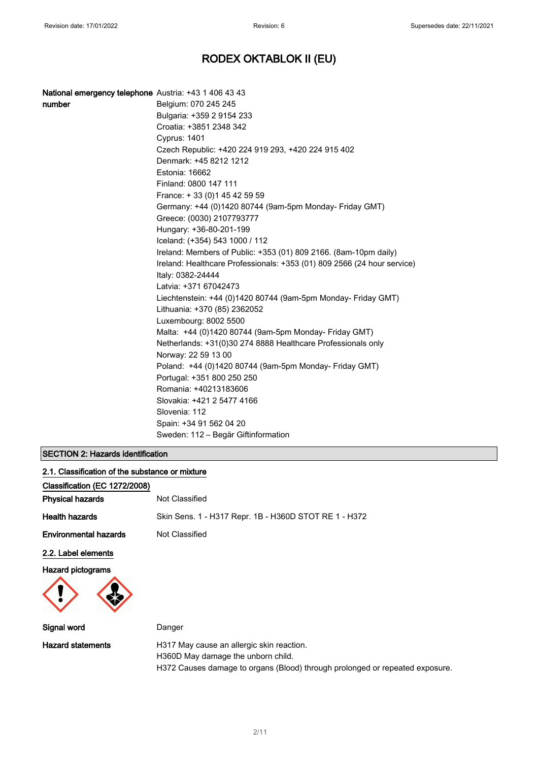| National emergency telephone Austria: +43 1 406 43 43 |                                                                         |
|-------------------------------------------------------|-------------------------------------------------------------------------|
| number                                                | Belgium: 070 245 245                                                    |
|                                                       | Bulgaria: +359 2 9154 233                                               |
|                                                       | Croatia: +3851 2348 342                                                 |
|                                                       | Cyprus: 1401                                                            |
|                                                       | Czech Republic: +420 224 919 293, +420 224 915 402                      |
|                                                       | Denmark: +45 8212 1212                                                  |
|                                                       | Estonia: 16662                                                          |
|                                                       | Finland: 0800 147 111                                                   |
|                                                       | France: +33 (0) 145 42 59 59                                            |
|                                                       | Germany: +44 (0)1420 80744 (9am-5pm Monday- Friday GMT)                 |
|                                                       | Greece: (0030) 2107793777                                               |
|                                                       | Hungary: +36-80-201-199                                                 |
|                                                       | Iceland: (+354) 543 1000 / 112                                          |
|                                                       | Ireland: Members of Public: +353 (01) 809 2166. (8am-10pm daily)        |
|                                                       | Ireland: Healthcare Professionals: +353 (01) 809 2566 (24 hour service) |
|                                                       | Italy: 0382-24444                                                       |
|                                                       | Latvia: +371 67042473                                                   |
|                                                       | Liechtenstein: +44 (0)1420 80744 (9am-5pm Monday- Friday GMT)           |
|                                                       | Lithuania: +370 (85) 2362052                                            |
|                                                       | Luxembourg: 8002 5500                                                   |
|                                                       | Malta: +44 (0)1420 80744 (9am-5pm Monday- Friday GMT)                   |
|                                                       | Netherlands: +31(0)30 274 8888 Healthcare Professionals only            |
|                                                       | Norway: 22 59 13 00                                                     |
|                                                       | Poland: +44 (0)1420 80744 (9am-5pm Monday- Friday GMT)                  |
|                                                       | Portugal: +351 800 250 250                                              |
|                                                       | Romania: +40213183606                                                   |
|                                                       | Slovakia: +421 2 5477 4166                                              |
|                                                       | Slovenia: 112                                                           |
|                                                       | Spain: +34 91 562 04 20                                                 |
|                                                       | Sweden: 112 – Begär Giftinformation                                     |

### SECTION 2: Hazards identification

| 2.1. Classification of the substance or mixture |                                                                                 |
|-------------------------------------------------|---------------------------------------------------------------------------------|
| Classification (EC 1272/2008)                   |                                                                                 |
| <b>Physical hazards</b>                         | Not Classified                                                                  |
| <b>Health hazards</b>                           | Skin Sens. 1 - H317 Repr. 1B - H360D STOT RE 1 - H372                           |
| <b>Environmental hazards</b>                    | Not Classified                                                                  |
| 2.2. Label elements                             |                                                                                 |
| <b>Hazard pictograms</b>                        |                                                                                 |
| Signal word                                     | Danger                                                                          |
| <b>Hazard statements</b>                        | H317 May cause an allergic skin reaction.<br>H360D May damage the unborn child. |

H372 Causes damage to organs (Blood) through prolonged or repeated exposure.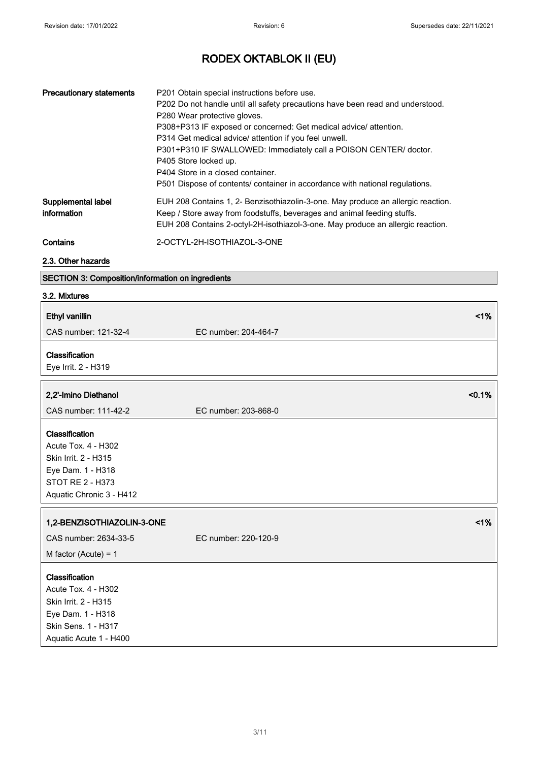| <b>Precautionary statements</b>   | P201 Obtain special instructions before use.<br>P202 Do not handle until all safety precautions have been read and understood.<br>P280 Wear protective gloves.<br>P308+P313 IF exposed or concerned: Get medical advice/ attention.<br>P314 Get medical advice/ attention if you feel unwell.<br>P301+P310 IF SWALLOWED: Immediately call a POISON CENTER/ doctor.<br>P405 Store locked up.<br>P404 Store in a closed container.<br>P501 Dispose of contents/ container in accordance with national regulations. |
|-----------------------------------|------------------------------------------------------------------------------------------------------------------------------------------------------------------------------------------------------------------------------------------------------------------------------------------------------------------------------------------------------------------------------------------------------------------------------------------------------------------------------------------------------------------|
| Supplemental label<br>information | EUH 208 Contains 1, 2- Benzisothiazolin-3-one. May produce an allergic reaction.<br>Keep / Store away from foodstuffs, beverages and animal feeding stuffs.<br>EUH 208 Contains 2-octyl-2H-isothiazol-3-one. May produce an allergic reaction.                                                                                                                                                                                                                                                                   |
| Contains                          | 2-OCTYL-2H-ISOTHIAZOL-3-ONE                                                                                                                                                                                                                                                                                                                                                                                                                                                                                      |

### 2.3. Other hazards

### SECTION 3: Composition/information on ingredients

### 3.2. Mixtures

| <b>Ethyl vanillin</b>                                                                                                                      | 1%                   |
|--------------------------------------------------------------------------------------------------------------------------------------------|----------------------|
| CAS number: 121-32-4                                                                                                                       | EC number: 204-464-7 |
| Classification<br>Eye Irrit. 2 - H319                                                                                                      |                      |
| 2,2'-Imino Diethanol                                                                                                                       | < 0.1%               |
| CAS number: 111-42-2                                                                                                                       | EC number: 203-868-0 |
| Classification<br><b>Acute Tox. 4 - H302</b><br>Skin Irrit. 2 - H315<br>Eye Dam. 1 - H318<br>STOT RE 2 - H373<br>Aquatic Chronic 3 - H412  |                      |
| 1,2-BENZISOTHIAZOLIN-3-ONE                                                                                                                 | $<$ 1%               |
| CAS number: 2634-33-5                                                                                                                      | EC number: 220-120-9 |
| M factor (Acute) = $1$                                                                                                                     |                      |
| Classification<br><b>Acute Tox. 4 - H302</b><br>Skin Irrit. 2 - H315<br>Eye Dam. 1 - H318<br>Skin Sens. 1 - H317<br>Aquatic Acute 1 - H400 |                      |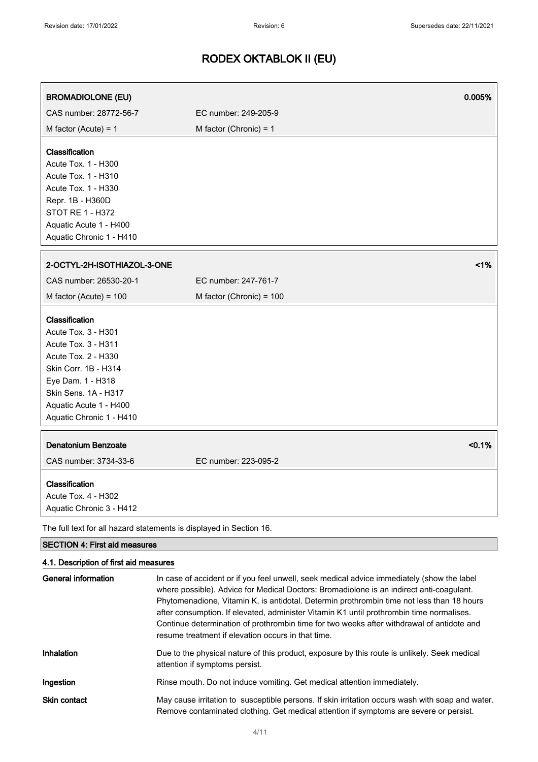| <b>BROMADIOLONE (EU)</b>                                                                                                                                                                                              | 0.005%                                                                                                                                                                                 |  |
|-----------------------------------------------------------------------------------------------------------------------------------------------------------------------------------------------------------------------|----------------------------------------------------------------------------------------------------------------------------------------------------------------------------------------|--|
| CAS number: 28772-56-7                                                                                                                                                                                                | EC number: 249-205-9                                                                                                                                                                   |  |
| M factor (Acute) = $1$                                                                                                                                                                                                | M factor (Chronic) = $1$                                                                                                                                                               |  |
| Classification<br>Acute Tox. 1 - H300<br>Acute Tox. 1 - H310<br>Acute Tox. 1 - H330<br>Repr. 1B - H360D<br><b>STOT RE 1 - H372</b><br>Aquatic Acute 1 - H400<br>Aquatic Chronic 1 - H410                              |                                                                                                                                                                                        |  |
| 2-OCTYL-2H-ISOTHIAZOL-3-ONE                                                                                                                                                                                           | 1%                                                                                                                                                                                     |  |
| CAS number: 26530-20-1                                                                                                                                                                                                | EC number: 247-761-7                                                                                                                                                                   |  |
| M factor (Acute) = $100$                                                                                                                                                                                              | M factor (Chronic) = 100                                                                                                                                                               |  |
| Classification<br>Acute Tox. 3 - H301<br><b>Acute Tox. 3 - H311</b><br>Acute Tox. 2 - H330<br>Skin Corr. 1B - H314<br>Eye Dam. 1 - H318<br>Skin Sens. 1A - H317<br>Aquatic Acute 1 - H400<br>Aquatic Chronic 1 - H410 |                                                                                                                                                                                        |  |
| <b>Denatonium Benzoate</b><br>CAS number: 3734-33-6                                                                                                                                                                   | < 0.1%<br>EC number: 223-095-2                                                                                                                                                         |  |
| Classification<br>Acute Tox. 4 - H302<br>Aquatic Chronic 3 - H412                                                                                                                                                     |                                                                                                                                                                                        |  |
| The full text for all hazard statements is displayed in Section 16.                                                                                                                                                   |                                                                                                                                                                                        |  |
| <b>SECTION 4: First aid measures</b>                                                                                                                                                                                  |                                                                                                                                                                                        |  |
| 4.1. Description of first aid measures<br><b>General information</b>                                                                                                                                                  | In case of accident or if you feel unwell, seek medical advice immediately (show the label<br>where possible). Advice for Medical Doctors: Bromadiolone is an indirect anti-coagulant. |  |

attention if symptoms persist. Ingestion **Rinse mouth.** Do not induce vomiting. Get medical attention immediately. Skin contact May cause irritation to susceptible persons. If skin irritation occurs wash with soap and water. Remove contaminated clothing. Get medical attention if symptoms are severe or persist.

Phytomenadione, Vitamin K, is antidotal. Determin prothrombin time not less than 18 hours after consumption. If elevated, administer Vitamin K1 until prothrombin time normalises. Continue determination of prothrombin time for two weeks after withdrawal of antidote and

Inhalation Due to the physical nature of this product, exposure by this route is unlikely. Seek medical

resume treatment if elevation occurs in that time.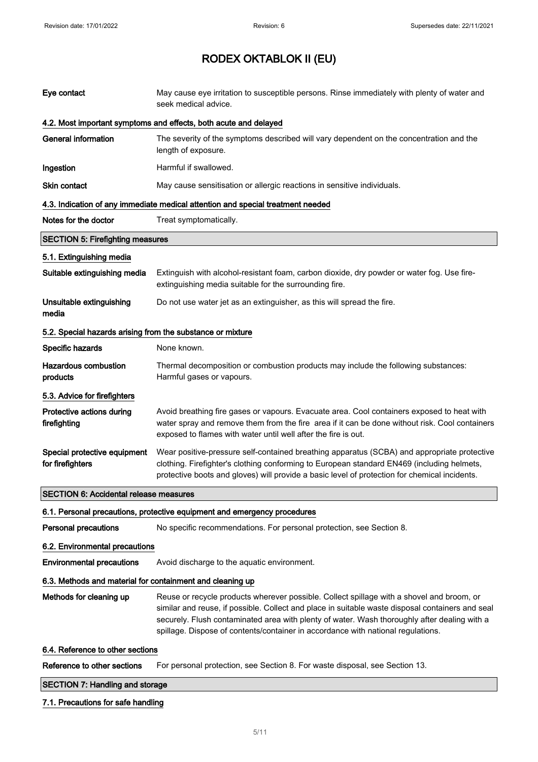| Eye contact                                                | May cause eye irritation to susceptible persons. Rinse immediately with plenty of water and<br>seek medical advice.                                                                                                                                                                                                                                                               |
|------------------------------------------------------------|-----------------------------------------------------------------------------------------------------------------------------------------------------------------------------------------------------------------------------------------------------------------------------------------------------------------------------------------------------------------------------------|
|                                                            | 4.2. Most important symptoms and effects, both acute and delayed                                                                                                                                                                                                                                                                                                                  |
| <b>General information</b>                                 | The severity of the symptoms described will vary dependent on the concentration and the<br>length of exposure.                                                                                                                                                                                                                                                                    |
| Ingestion                                                  | Harmful if swallowed.                                                                                                                                                                                                                                                                                                                                                             |
| Skin contact                                               | May cause sensitisation or allergic reactions in sensitive individuals.                                                                                                                                                                                                                                                                                                           |
|                                                            | 4.3. Indication of any immediate medical attention and special treatment needed                                                                                                                                                                                                                                                                                                   |
| Notes for the doctor                                       | Treat symptomatically.                                                                                                                                                                                                                                                                                                                                                            |
| <b>SECTION 5: Firefighting measures</b>                    |                                                                                                                                                                                                                                                                                                                                                                                   |
| 5.1. Extinguishing media                                   |                                                                                                                                                                                                                                                                                                                                                                                   |
| Suitable extinguishing media                               | Extinguish with alcohol-resistant foam, carbon dioxide, dry powder or water fog. Use fire-<br>extinguishing media suitable for the surrounding fire.                                                                                                                                                                                                                              |
| Unsuitable extinguishing<br>media                          | Do not use water jet as an extinguisher, as this will spread the fire.                                                                                                                                                                                                                                                                                                            |
| 5.2. Special hazards arising from the substance or mixture |                                                                                                                                                                                                                                                                                                                                                                                   |
| Specific hazards                                           | None known.                                                                                                                                                                                                                                                                                                                                                                       |
| <b>Hazardous combustion</b><br>products                    | Thermal decomposition or combustion products may include the following substances:<br>Harmful gases or vapours.                                                                                                                                                                                                                                                                   |
| 5.3. Advice for firefighters                               |                                                                                                                                                                                                                                                                                                                                                                                   |
| Protective actions during<br>firefighting                  | Avoid breathing fire gases or vapours. Evacuate area. Cool containers exposed to heat with<br>water spray and remove them from the fire area if it can be done without risk. Cool containers<br>exposed to flames with water until well after the fire is out.                                                                                                                    |
| Special protective equipment<br>for firefighters           | Wear positive-pressure self-contained breathing apparatus (SCBA) and appropriate protective<br>clothing. Firefighter's clothing conforming to European standard EN469 (including helmets,<br>protective boots and gloves) will provide a basic level of protection for chemical incidents.                                                                                        |
| <b>SECTION 6: Accidental release measures</b>              |                                                                                                                                                                                                                                                                                                                                                                                   |
|                                                            | 6.1. Personal precautions, protective equipment and emergency procedures                                                                                                                                                                                                                                                                                                          |
| Personal precautions                                       | No specific recommendations. For personal protection, see Section 8.                                                                                                                                                                                                                                                                                                              |
| 6.2. Environmental precautions                             |                                                                                                                                                                                                                                                                                                                                                                                   |
| <b>Environmental precautions</b>                           | Avoid discharge to the aquatic environment.                                                                                                                                                                                                                                                                                                                                       |
| 6.3. Methods and material for containment and cleaning up  |                                                                                                                                                                                                                                                                                                                                                                                   |
| Methods for cleaning up                                    | Reuse or recycle products wherever possible. Collect spillage with a shovel and broom, or<br>similar and reuse, if possible. Collect and place in suitable waste disposal containers and seal<br>securely. Flush contaminated area with plenty of water. Wash thoroughly after dealing with a<br>spillage. Dispose of contents/container in accordance with national regulations. |
| 6.4. Reference to other sections                           |                                                                                                                                                                                                                                                                                                                                                                                   |
| Reference to other sections                                | For personal protection, see Section 8. For waste disposal, see Section 13.                                                                                                                                                                                                                                                                                                       |
| <b>SECTION 7: Handling and storage</b>                     |                                                                                                                                                                                                                                                                                                                                                                                   |

### 7.1. Precautions for safe handling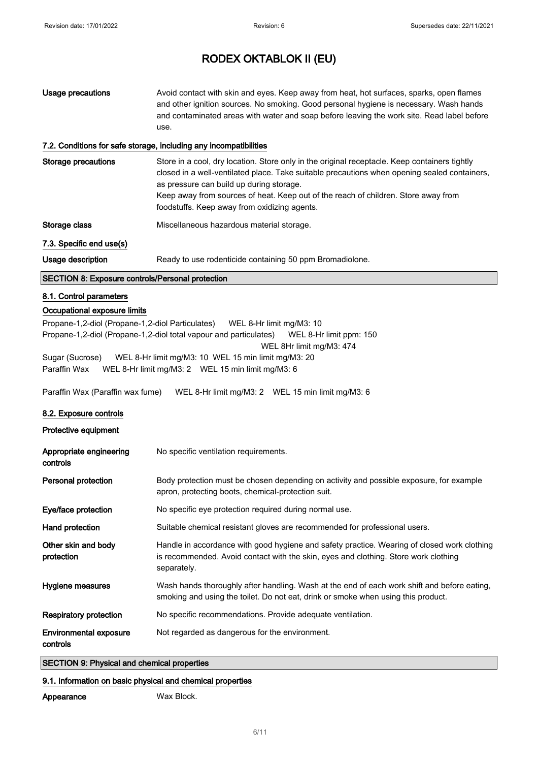| <b>Usage precautions</b>                                                                                                                     | Avoid contact with skin and eyes. Keep away from heat, hot surfaces, sparks, open flames<br>and other ignition sources. No smoking. Good personal hygiene is necessary. Wash hands                                                                                                                                                                                              |  |
|----------------------------------------------------------------------------------------------------------------------------------------------|---------------------------------------------------------------------------------------------------------------------------------------------------------------------------------------------------------------------------------------------------------------------------------------------------------------------------------------------------------------------------------|--|
|                                                                                                                                              | and contaminated areas with water and soap before leaving the work site. Read label before<br>use.                                                                                                                                                                                                                                                                              |  |
|                                                                                                                                              | 7.2. Conditions for safe storage, including any incompatibilities                                                                                                                                                                                                                                                                                                               |  |
| <b>Storage precautions</b>                                                                                                                   | Store in a cool, dry location. Store only in the original receptacle. Keep containers tightly<br>closed in a well-ventilated place. Take suitable precautions when opening sealed containers,<br>as pressure can build up during storage.<br>Keep away from sources of heat. Keep out of the reach of children. Store away from<br>foodstuffs. Keep away from oxidizing agents. |  |
| Storage class                                                                                                                                | Miscellaneous hazardous material storage.                                                                                                                                                                                                                                                                                                                                       |  |
| 7.3. Specific end use(s)                                                                                                                     |                                                                                                                                                                                                                                                                                                                                                                                 |  |
| Usage description                                                                                                                            | Ready to use rodenticide containing 50 ppm Bromadiolone.                                                                                                                                                                                                                                                                                                                        |  |
| SECTION 8: Exposure controls/Personal protection                                                                                             |                                                                                                                                                                                                                                                                                                                                                                                 |  |
| 8.1. Control parameters                                                                                                                      |                                                                                                                                                                                                                                                                                                                                                                                 |  |
| Occupational exposure limits                                                                                                                 |                                                                                                                                                                                                                                                                                                                                                                                 |  |
| Propane-1,2-diol (Propane-1,2-diol Particulates)                                                                                             | WEL 8-Hr limit mg/M3: 10<br>Propane-1,2-diol (Propane-1,2-diol total vapour and particulates)<br>WEL 8-Hr limit ppm: 150                                                                                                                                                                                                                                                        |  |
|                                                                                                                                              | WEL 8Hr limit mg/M3: 474                                                                                                                                                                                                                                                                                                                                                        |  |
| Sugar (Sucrose)<br>WEL 8-Hr limit mg/M3: 10 WEL 15 min limit mg/M3: 20<br>Paraffin Wax<br>WEL 8-Hr limit mg/M3: 2  WEL 15 min limit mg/M3: 6 |                                                                                                                                                                                                                                                                                                                                                                                 |  |
| Paraffin Wax (Paraffin wax fume)<br>WEL 8-Hr limit mg/M3: 2  WEL 15 min limit mg/M3: 6                                                       |                                                                                                                                                                                                                                                                                                                                                                                 |  |
| 8.2. Exposure controls                                                                                                                       |                                                                                                                                                                                                                                                                                                                                                                                 |  |
| Protective equipment                                                                                                                         |                                                                                                                                                                                                                                                                                                                                                                                 |  |
| Appropriate engineering<br>controls                                                                                                          | No specific ventilation requirements.                                                                                                                                                                                                                                                                                                                                           |  |
| Personal protection                                                                                                                          | Body protection must be chosen depending on activity and possible exposure, for example<br>apron, protecting boots, chemical-protection suit.                                                                                                                                                                                                                                   |  |
| Eye/face protection                                                                                                                          | No specific eye protection required during normal use.                                                                                                                                                                                                                                                                                                                          |  |
| Hand protection                                                                                                                              | Suitable chemical resistant gloves are recommended for professional users.                                                                                                                                                                                                                                                                                                      |  |
| Other skin and body<br>protection                                                                                                            | Handle in accordance with good hygiene and safety practice. Wearing of closed work clothing<br>is recommended. Avoid contact with the skin, eyes and clothing. Store work clothing<br>separately.                                                                                                                                                                               |  |
| Hygiene measures                                                                                                                             | Wash hands thoroughly after handling. Wash at the end of each work shift and before eating,<br>smoking and using the toilet. Do not eat, drink or smoke when using this product.                                                                                                                                                                                                |  |
| <b>Respiratory protection</b>                                                                                                                | No specific recommendations. Provide adequate ventilation.                                                                                                                                                                                                                                                                                                                      |  |

Environmental exposure Not regarded as dangerous for the environment.

# controls

### SECTION 9: Physical and chemical properties

### 9.1. Information on basic physical and chemical properties

Appearance Wax Block.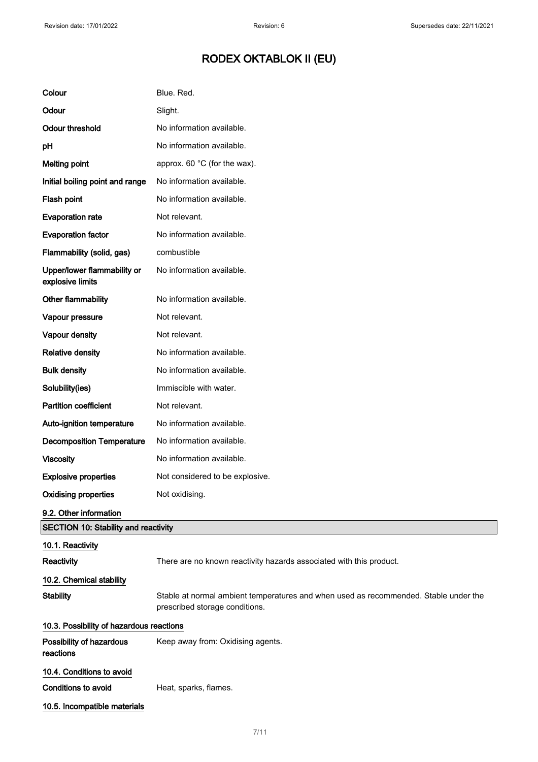| Colour                                          | Blue. Red.                                                                                                             |  |
|-------------------------------------------------|------------------------------------------------------------------------------------------------------------------------|--|
| Odour                                           | Slight.                                                                                                                |  |
| <b>Odour threshold</b>                          | No information available.                                                                                              |  |
| pH                                              | No information available.                                                                                              |  |
| <b>Melting point</b>                            | approx. 60 °C (for the wax).                                                                                           |  |
| Initial boiling point and range                 | No information available.                                                                                              |  |
| Flash point                                     | No information available.                                                                                              |  |
| <b>Evaporation rate</b>                         | Not relevant.                                                                                                          |  |
| <b>Evaporation factor</b>                       | No information available.                                                                                              |  |
| Flammability (solid, gas)                       | combustible                                                                                                            |  |
| Upper/lower flammability or<br>explosive limits | No information available.                                                                                              |  |
| Other flammability                              | No information available.                                                                                              |  |
| Vapour pressure                                 | Not relevant.                                                                                                          |  |
| Vapour density                                  | Not relevant.                                                                                                          |  |
| <b>Relative density</b>                         | No information available.                                                                                              |  |
| <b>Bulk density</b>                             | No information available.                                                                                              |  |
| Solubility(ies)                                 | Immiscible with water.                                                                                                 |  |
| <b>Partition coefficient</b>                    | Not relevant.                                                                                                          |  |
| Auto-ignition temperature                       | No information available.                                                                                              |  |
| <b>Decomposition Temperature</b>                | No information available.                                                                                              |  |
| <b>Viscosity</b>                                | No information available.                                                                                              |  |
| <b>Explosive properties</b>                     | Not considered to be explosive.                                                                                        |  |
| <b>Oxidising properties</b>                     | Not oxidising.                                                                                                         |  |
| 9.2. Other information                          |                                                                                                                        |  |
| <b>SECTION 10: Stability and reactivity</b>     |                                                                                                                        |  |
| 10.1. Reactivity<br>Reactivity                  | There are no known reactivity hazards associated with this product.                                                    |  |
| 10.2. Chemical stability                        |                                                                                                                        |  |
| <b>Stability</b>                                | Stable at normal ambient temperatures and when used as recommended. Stable under the<br>prescribed storage conditions. |  |
|                                                 | 10.3. Possibility of hazardous reactions                                                                               |  |
| Possibility of hazardous<br>reactions           | Keep away from: Oxidising agents.                                                                                      |  |
| 10.4. Conditions to avoid                       |                                                                                                                        |  |
| Conditions to avoid                             | Heat, sparks, flames.                                                                                                  |  |
| 10.5. Incompatible materials                    |                                                                                                                        |  |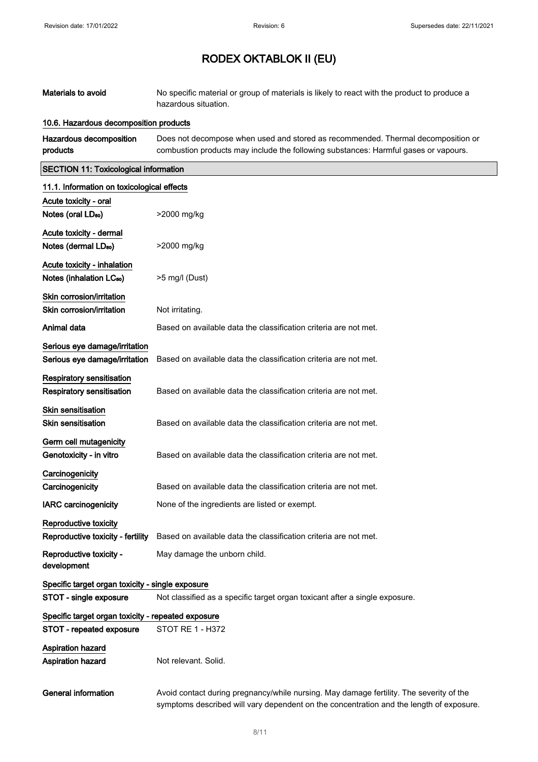| <b>Materials to avoid</b>                                                      | No specific material or group of materials is likely to react with the product to produce a<br>hazardous situation.                                                                |
|--------------------------------------------------------------------------------|------------------------------------------------------------------------------------------------------------------------------------------------------------------------------------|
| 10.6. Hazardous decomposition products                                         |                                                                                                                                                                                    |
| Hazardous decomposition<br>products                                            | Does not decompose when used and stored as recommended. Thermal decomposition or<br>combustion products may include the following substances: Harmful gases or vapours.            |
| <b>SECTION 11: Toxicological information</b>                                   |                                                                                                                                                                                    |
| 11.1. Information on toxicological effects                                     |                                                                                                                                                                                    |
| Acute toxicity - oral<br>Notes (oral LD <sub>50</sub> )                        | >2000 mg/kg                                                                                                                                                                        |
| Acute toxicity - dermal<br>Notes (dermal LD <sub>50</sub> )                    | >2000 mg/kg                                                                                                                                                                        |
| Acute toxicity - inhalation<br>Notes (inhalation LC <sub>50</sub> )            | $>5$ mg/l (Dust)                                                                                                                                                                   |
| Skin corrosion/irritation<br>Skin corrosion/irritation                         | Not irritating.                                                                                                                                                                    |
| Animal data                                                                    | Based on available data the classification criteria are not met.                                                                                                                   |
| Serious eye damage/irritation<br>Serious eye damage/irritation                 | Based on available data the classification criteria are not met.                                                                                                                   |
| Respiratory sensitisation<br><b>Respiratory sensitisation</b>                  | Based on available data the classification criteria are not met.                                                                                                                   |
| <b>Skin sensitisation</b><br><b>Skin sensitisation</b>                         | Based on available data the classification criteria are not met.                                                                                                                   |
| Germ cell mutagenicity<br>Genotoxicity - in vitro                              | Based on available data the classification criteria are not met.                                                                                                                   |
| Carcinogenicity<br>Carcinogenicity                                             | Based on available data the classification criteria are not met.                                                                                                                   |
| <b>IARC</b> carcinogenicity                                                    | None of the ingredients are listed or exempt.                                                                                                                                      |
| Reproductive toxicity<br>Reproductive toxicity - fertility                     | Based on available data the classification criteria are not met.                                                                                                                   |
| Reproductive toxicity -<br>development                                         | May damage the unborn child.                                                                                                                                                       |
| Specific target organ toxicity - single exposure                               |                                                                                                                                                                                    |
| STOT - single exposure                                                         | Not classified as a specific target organ toxicant after a single exposure.                                                                                                        |
| Specific target organ toxicity - repeated exposure<br>STOT - repeated exposure | STOT RE 1 - H372                                                                                                                                                                   |
| <b>Aspiration hazard</b><br>Aspiration hazard                                  | Not relevant. Solid.                                                                                                                                                               |
| <b>General information</b>                                                     | Avoid contact during pregnancy/while nursing. May damage fertility. The severity of the<br>symptoms described will vary dependent on the concentration and the length of exposure. |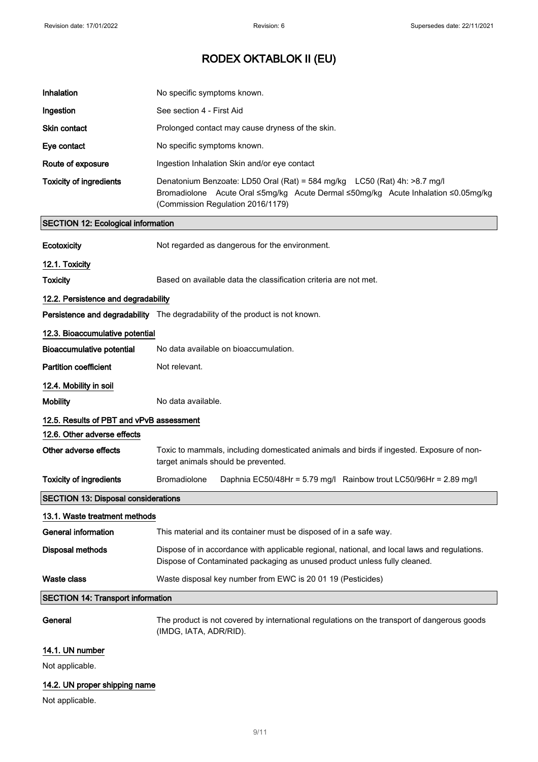| Inhalation                                 | No specific symptoms known.                                                                                                                                                                         |
|--------------------------------------------|-----------------------------------------------------------------------------------------------------------------------------------------------------------------------------------------------------|
| Ingestion                                  | See section 4 - First Aid                                                                                                                                                                           |
| Skin contact                               | Prolonged contact may cause dryness of the skin.                                                                                                                                                    |
| Eye contact                                | No specific symptoms known.                                                                                                                                                                         |
| Route of exposure                          | Ingestion Inhalation Skin and/or eye contact                                                                                                                                                        |
| <b>Toxicity of ingredients</b>             | Denatonium Benzoate: LD50 Oral (Rat) = 584 mg/kg LC50 (Rat) 4h: >8.7 mg/l<br>Bromadiolone Acute Oral ≤5mg/kg Acute Dermal ≤50mg/kg Acute Inhalation ≤0.05mg/kg<br>(Commission Regulation 2016/1179) |
| <b>SECTION 12: Ecological information</b>  |                                                                                                                                                                                                     |
| <b>Ecotoxicity</b>                         | Not regarded as dangerous for the environment.                                                                                                                                                      |
| 12.1. Toxicity                             |                                                                                                                                                                                                     |
| <b>Toxicity</b>                            | Based on available data the classification criteria are not met.                                                                                                                                    |
| 12.2. Persistence and degradability        |                                                                                                                                                                                                     |
|                                            | Persistence and degradability The degradability of the product is not known.                                                                                                                        |
| 12.3. Bioaccumulative potential            |                                                                                                                                                                                                     |
| <b>Bioaccumulative potential</b>           | No data available on bioaccumulation.                                                                                                                                                               |
| <b>Partition coefficient</b>               | Not relevant.                                                                                                                                                                                       |
| 12.4. Mobility in soil                     |                                                                                                                                                                                                     |
| <b>Mobility</b>                            | No data available.                                                                                                                                                                                  |
| 12.5. Results of PBT and vPvB assessment   |                                                                                                                                                                                                     |
| 12.6. Other adverse effects                |                                                                                                                                                                                                     |
| Other adverse effects                      | Toxic to mammals, including domesticated animals and birds if ingested. Exposure of non-<br>target animals should be prevented.                                                                     |
| <b>Toxicity of ingredients</b>             | Bromadiolone<br>Daphnia EC50/48Hr = 5.79 mg/l Rainbow trout LC50/96Hr = 2.89 mg/l                                                                                                                   |
| <b>SECTION 13: Disposal considerations</b> |                                                                                                                                                                                                     |
| 13.1. Waste treatment methods              |                                                                                                                                                                                                     |
| <b>General information</b>                 | This material and its container must be disposed of in a safe way.                                                                                                                                  |
| <b>Disposal methods</b>                    | Dispose of in accordance with applicable regional, national, and local laws and regulations.<br>Dispose of Contaminated packaging as unused product unless fully cleaned.                           |
| <b>Waste class</b>                         | Waste disposal key number from EWC is 20 01 19 (Pesticides)                                                                                                                                         |
| <b>SECTION 14: Transport information</b>   |                                                                                                                                                                                                     |
| General                                    | The product is not covered by international regulations on the transport of dangerous goods<br>(IMDG, IATA, ADR/RID).                                                                               |
| 14.1. UN number                            |                                                                                                                                                                                                     |
| Not applicable.                            |                                                                                                                                                                                                     |
| 14.2. UN proper shipping name              |                                                                                                                                                                                                     |

Not applicable.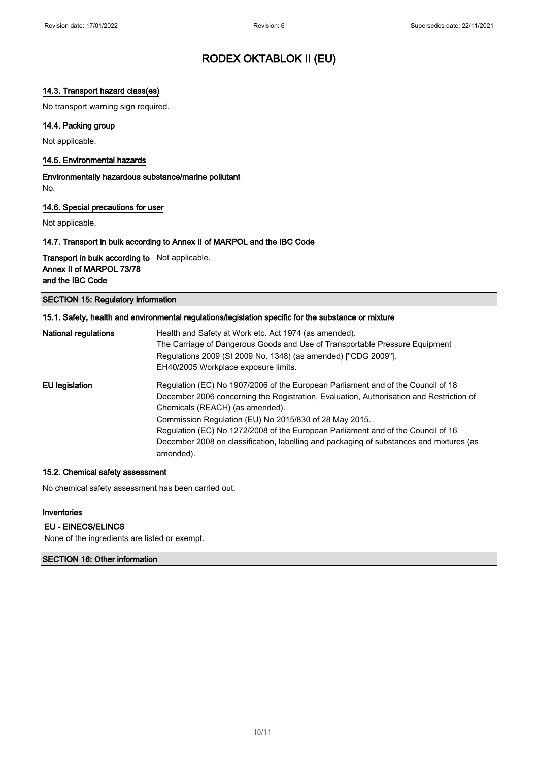### 14.3. Transport hazard class(es)

No transport warning sign required.

### 14.4. Packing group

Not applicable.

#### 14.5. Environmental hazards

Environmentally hazardous substance/marine pollutant No.

#### 14.6. Special precautions for user

Not applicable.

#### 14.7. Transport in bulk according to Annex II of MARPOL and the IBC Code

Transport in bulk according to Not applicable. Annex II of MARPOL 73/78 and the IBC Code

SECTION 15: Regulatory information

| <b>National regulations</b> | Health and Safety at Work etc. Act 1974 (as amended).                                                |
|-----------------------------|------------------------------------------------------------------------------------------------------|
|                             | The Carriage of Dangerous Goods and Use of Transportable Pressure Equipment                          |
|                             | Regulations 2009 (SI 2009 No. 1348) (as amended) ["CDG 2009"].                                       |
|                             | EH40/2005 Workplace exposure limits.                                                                 |
| EU legislation              | Regulation (EC) No 1907/2006 of the European Parliament and of the Council of 18                     |
|                             | December 2006 concerning the Registration, Evaluation, Authorisation and Restriction of              |
|                             | Chemicals (REACH) (as amended).                                                                      |
|                             | Commission Regulation (EU) No 2015/830 of 28 May 2015.                                               |
|                             | Regulation (EC) No 1272/2008 of the European Parliament and of the Council of 16                     |
|                             | December 2008 on classification, labelling and packaging of substances and mixtures (as<br>amended). |

#### 15.2. Chemical safety assessment

No chemical safety assessment has been carried out.

#### Inventories

#### EU - EINECS/ELINCS

None of the ingredients are listed or exempt.

### SECTION 16: Other information